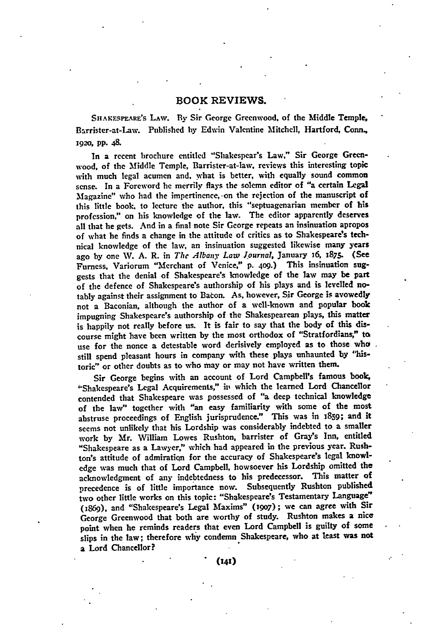# BOOK REVIEWS.

SHAKESPEARE's LAW. By Sir George Greenwood, of the Middle Temple, Barrister-at-Law. Published **by** Edwin Valentine Mitchell, Hartford, Conn., 1920, pp. 48.

In a recent brochure entitled "Shakespear's Law," Sir George Greenwood, of the Middle Temple, Barrister-at-law, reviews this interesting topic with much legal acumen and, what is better, with equally sound common sense. In a Foreword **he** merrily flays the solemn editor of "a certain Legal Magazine" who had the impertinence, on the rejection of the manuscript of this little book. to lecture the author, this "septuagenarian member of his profession," on his knowledge of the law. The editor apparently deserves all that he gets. And in a final note Sir George repeats an insinuation apropos of what he finds a change in the attitude of critics as to Shakespeare's technical knowledge of the law, an insinuation suggested likewise many years ago **by** one **V. A.** R. in *The Albany Law Journal,* January 16, 1875. (See Furness, Variorum "Merchant of Venice," p. **409.)** This insinuation suggests that the denial of Shakespeare's knowledge of the law may be part of the defence of Shakespeare's authorship of his plays and is levelled notably against their assignment to Bacon. As, however, Sir George is avowedly not a Baconian, although the author of a well-known and popular book impugning Shakespeare's authorship of the Shakespearean plays, this matter is happily not really before us. It is fair to say that the **body** of this discourse might have been written by the most orthodox of "Stratfordians," to use for the nonce a detestable word derisively employed as to those who still spend pleasant hours in company with these plays unhaunted **by** "historic" or other doubts as to **who** may or may not have written them.

Sir George begins with an account of Lord Campbell's famous book, "Shakespeare's Legal Acquirements," **it,** which the learned Lord Chancellor contended that Shakespeare was possessed of "a deep technical knowledge of the law" together with "an easy familiarity with some of the most abstruse proceedings of English jurisprudence." This was in 1859; and it seems not unlikely that his Lordship was considerably indebted to a smaller work **by** Mr. William Lowes Rushton, barrister of Gray's Inn, entitled "Shakespeare as a Lawyer," which had appeared in the previous year. Rushton's attitude of admiratiqn for the accuracy of Shakespeare's legal knowledge was much that of Lord Campbell, howsoever his Lordship omitted the acknowledgment of any indebtedness to his predecessor. This matter of precedence is of little importance now. Subsequently Rushton published two other little works on this topic: "Shakespeare's Testamentary Language" **(1869),** and "Shakespeare's Legal Maxims" **(i9o7);** we can agree with Sir George Greenwood that both are worthy of study. Rushton makes a nice point when he reminds readers that even Lord Campbell is guilty of some slips in the law; therefore why condemn Shakespeare, who at least was not **a** Lord Chancellor?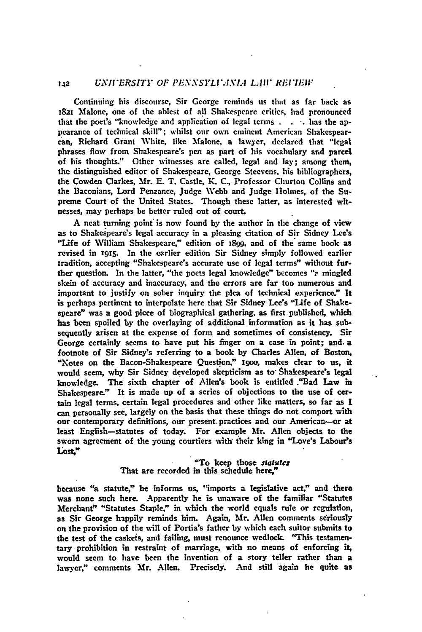## **142** UNIFERSITY OF PENNSYLITANIA LAW REFIEIF

Continuing his discourse, Sir George reminds us that as far back as 1821 Malone, one of the ablest of all Shakespeare critics, had pronounced that the poet's "knowledge and application of legal terms . **-.** has the appearance of technical skill"; whilst our own eminent American Shakespearcan, Richard Grant White, like Malone, a lawyer, declared that "legal phrases flow from Shakespeare's pen as part of his vocabulary and parcel of his thoughts." Other witnesses are called, legal and lay; among them, the distinguished editor of Shakespeare, George Steevens. his bibliographers, the Cowden Clarkes, Mr. **E.** T. Castle, K. **C.,** Professor Churton Collins and the Baconians, Lord Penzance, judge **Webb** and judge Holmes, of the Supreme Court of the United States. Though these latter, as interested witnesses, may perhaps be better ruled out of court.

A neat turning point\* is **now** found **by** the author in the change of view as to Shakespeare's legal accuracy in a pleasing citation of Sir Sidney Lee's 'Life of William Shakespeare," edition of 1899. and of the same book as revised in **i915.** In the earlier edition Sir Sidney simply followed earlier tradition, accepting "Shakespeare's accurate use of legal terms" without further question. In the latter, "the poets legal knowledge" becomes "2 mingled skein of accuracy and inaccuracy, and the errors are far too numerous and important to justify on sober inquiry the plea **of** technical experience." It is perhaps pertinent to interpolate here that Sir Sidney Lee's "Life of Shakespeare" was a good piece of biographical gathering, as first published, which has been spoiled by the overlaying of additional information as it has subsequently arisen at the expense of form and sometimes of consistency. Sir George certainly seems to have put his finger on a case in point; and. a footnote of Sir Sidney's referring to a book **by** Charles Allen, of Boston, "Notes on the Bacon-Shakespeare Question," 1900, makes clear to us, it would seem, why Sir Sidney developed skepticism as to- Shakespeare's legal knowledge. The sixth chapter of Allen's book is entitled ."Bad Law in Shakespeare." It is made up of a series of objections to the use of **cer**tain legal terms, certain legal procedures and other like matters, so far as I can personally see, largely on the basis that these things do not comport with our contemporary definitions, our present. practices and our American--or at least English-statutes of today. For example Mr. Allen objects to the sworn agreement of the young courtiers with their king in "Love's Labour's Lost,"

### "To keep those *sta1tucs* That are recorded in this schedule here,"

because "a statute," he informs us, "imports a legislative act," and there was none such here. Apparently he is unaware of the familiar "Statutes Merchant" "Statutes Staple," in which the world equals rule or regulation, as Sir George **happily** reminds him. Again, Mr. Allen comments seriously on the provision of the will of Portia's father **by** which each suitor submits to the test of the caskeis, and failing, must renounce wedlock. "This testamentary prohibition in restraint of marriage, with no means of enforcing it, would seem to have been the invention of a story teller rather than a lawyer," comments Mr. Allen. Precisely. And still again he quite as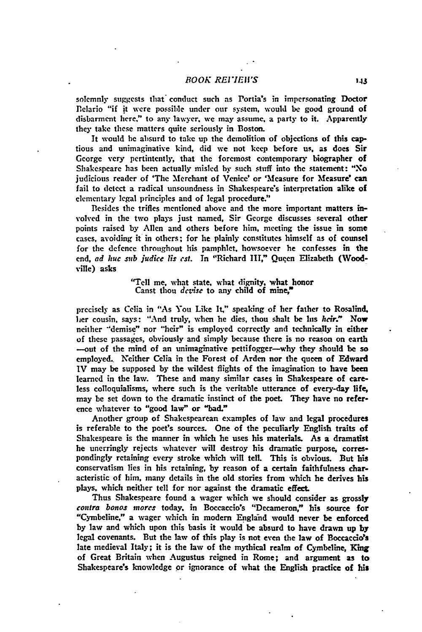## *BOOK REI7Ii'S* **<sup>143</sup>**

solemnly suggests that" conduct such as Portia's in impersonating Doctor Belario "if it were possible under our system, would **be** good ground of disbarment here." to any lawyer. we may assume, a party to it. Apparently they take these matters quite seriously in Boston.

It would **he** absurd to take up the demolition of objections of this captious and unimaginative kind, did we not keep before us. as does Sir George very pertintently, that the foremost contemporary biographer of Shakespeare has been actually misled **by** such stuff into the statement: "No judicious reader of 'The Merchant of Venice' or 'Measure for Mfeasure' **can** fail to detect a radical unsoundness in Shakespeare's interpretation alike of elementary legal principles and of legal procedure."

Besides the trifles mentioned above and the more important matters involved in the two plays just named, Sir George discusses several other points raised **by** Allen and others before him, meeting the issue in some cases, avoiding it in others; for he plainly constitutes himself as **of** counsel for the defence throughout his pamphlet, howsoever he confesses in the end, ad huc sub judice lis est. In "Richard III," Queen Elizabeth (Woodville) asks

> "Tell me, what state, what dignity, what honor Canst thou *dcvise* to any child of mine,"

precisely as Celia in "As You Like It," speaking of her father to Rosalind. her cousin, says: "And truly, when he dies, thou shalt be his heir." Now neither "demise" nor "heir" is employed correctly and technically in either **of** these passages, obviously and simply because there is no reason on earth -out of the mind of an unimaginative pettifogger-why they should **be** so employed. Neither Celia in the Forest of Arden nor the queen of Edward IV may be supposed **by** the wildest flights of the imagination to have been learned in the law. These and many similar cases in Shakespeare of careless colloquialisms, where such is the veritable utterance of every-day life, may be set down to the dramatic instinct of the poet. They have no reference whatever to "good law" or "bad."

Another group of Shakespearean examples of **law** and legal procedures is referable to the poet's sources. One of the peculiarly English traits of Shakespeare is the manner in which he uses his materials. As a dramatist he unerringly rejects whatever will destroy his dramatic purpose, correspondingly retaining every stroke which will tell. This is obvious. But his conservatism lies in his retaining, **by** reason of a certain faithfulness characteristic **of** him, many details in the old stories from which he derives **his** plays. which neither tell for nor against the dramatic effect.

Thus Shakespeare found a wager which we should consider as grossly contra bonos *mores* today, in Boccaccio's "Decameron," his source for "Cymbeline," a wager which in modern England would never be enforced **by** law and which upon this basis it would be absurd to have drawn up **by** legal covenants. But the law of this play is not even the law of Boccaccio's late medieval Italy; it is the law of the mythical realm of Cymbeline, King of Great Britain when Augustus reigned in Rome; and argument as to Shakespeare's knowledge or ignorance of what the English practice of **his**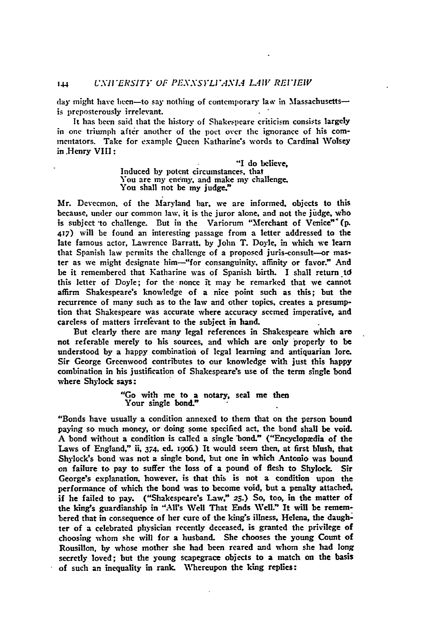day might have been-to say nothing of contemporary law in Massachusettsis preposterously irrelevant.

It has been said that the history of Shakespeare criticism consists largely in one triumph **after another** of the poet over **the** ignorance of his commentators. Take for example Queen Katharine's words to Cardinal Wolsey in .Henry VIII **:**

> **"I** do believe, Induced **by** potent circumstances, that You are my enemy, and make my challenge. You shall not be my judge."

Mr. Devecmon, **of** the Maryland bar, we are informed, objects to this because, under our common law, it is the juror alone, and not the **judge,** who is subject to challenge. But in the Variorum "Merchant of Venice" (p. 417) will be found an interesting passage from a letter addressed to the late famous actor, Lawrence Barratt. **by** John T. Doyle, in which we learn that Spanish law permits the challenge of a proposed juris-consult-or master as we might designate him-"for consanguinity, affinity or favor." And be it remembered that Katharine was of Spanish birth. I shall return td this letter of Doyle; for the nonce it may be remarked that **we** cannot affirm Shakespeare's knowledge of a nice point such as this; but the recurrence of many such as to the law and other topics, creates a presumption that Shakespeare **was** accurate where accuracy seemed imperative, and careless of matters irrelevant to the subject in hand.

But clearly there are many legal references in Shakespeare which are not referable merely to his sources, and which are only properly to be understood **by** a happy combination of legal learning and antiquarian lore. Sir George Greenwood contributes to our knowledge with just this happy combination in his justification of Shakespeare's use of the term single bond where Shylock says:

> "Go with me to a notary, seal me then Your single bond."

"Bonds have usually a condition annexed to them that on the person bound paying so much money, or doing some specified act, the bond shall be void. **A** bond without a condition is called a single bond." ("Encyclopedia of the Laws of England," ii, 374, **ed. i9o6.)** It would seem then, at first blush, that Shylock's bond was not a single bond, but one in which Antonio was bound on failure to pay to suffer the loss of a pound of flesh to Shylock. Sir George's explanation, however, is that this is not a condition upon the performance of which the bond was to become void, but a penalty attached, if he failed to pay. ("Shakespeare's Law," **25.)** So, too, in the matter of the king's guardianship in "Alls Well That Ends WelL" It will be remembered that in consequence of her cure of the king's illness, Helena, the daughter of a celebrated physician recently deceased, is granted the privilege of choosing whom she will for a husband. She chooses the young Count of Rousillon, **by** whose mother she had been reared and whom she had long secretly loved; but the young scapegrace objects to a match on the basis of such an inequality in rank. Whereupon the king replies: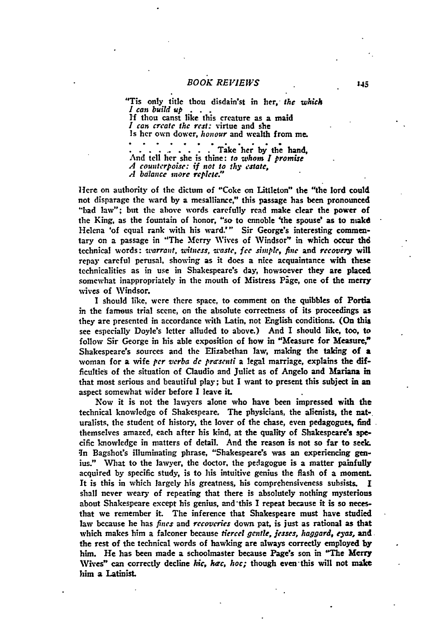"Tis only title thou disdain'st in her, *the which 1 can build up . .* **If** thou canst like this creature as a maid *I can create the rest:* virtue and she Is her own dower, *honour* and wealth from **me.**

........... **Take her by the** hand, And tell her she is thine: *to whom I promise A counterpoise: if not to thy estate, A balance more replete."*

Here on authority of the dictum of "Coke on Littleton" the "the lord could not disparage the ward **by** a mesalliance," this passage has been pronounced "bad law"; but the above words carefully read make clear the power **of** the King, as the fountain of honor, "so to ennoble 'the spouse' as to makd Helena 'of equal rank with his ward.'" Sir George's interesting commentary on a passage in "The Merry Wives of Windsor" in which occur thd technical words: *tarrant, witness, waste, fee simple, fine* and *recovery* will repay careful perusal, showing as it does a nice acquaintance with these technicalities as in use in Shakespeare's day, howsoever they are placed somewhat inappropriately in the mouth of Mistress Page, one of the merry **wives** of Windsor.

I should like, were there space, to comment on the quibbles of Portia in the famous trial scene, on the absolute correctness of its proceedings as they are presented in accordance with Latin, not English conditions. (On this see especially Doyle's letter alluded to above.) And I should like, too, to follow Sir George in his able exposition of how in "Measure for **Measure,"** Shakespeare's sources and the Elizabethan law, making the taking **of a** woman for a wife *per verba dc prirsenti* a legal marriage, explains the difficulties of the situation of Claudio and Juliet as of Angelo and Mariana in that most serious and beautiful play; but **I** want to present this subject in **an** aspect somewhat wider before I leave **it.**

Now it is not the lawyers alone who have been impressed with the technical knowledge of Shakespeare. The physicians, the alienists, the nat-, uralists, the student of history, the lover of the chase, even pedagogues, find themselves amazed, each after his kind, at the quality of Shakespeare's specific knowledge in matters of detail. And the reason is not so far to seek. **In** Bagshot's illuminating phrase, "Shakespeare's was an experiencing **gen**ius." What to the lawyer, the doctor, the pedagogue is a matter painfully acquired **by** specific study, is to his intuitive genius the flash of a moment. It is this in which largely his greatness, his comprehensiveness subsists. **I** shall never weary of repeating that there is absolutely nothing mysterious about Shakespeare except his genius, and'this **I** repeat because it is so necesthat we remember it. The inference that Shakespeare must have studied law because he has *fines* and *recoveries* down pat, is just as rational as that which makes him a falconer because *tiercel gentle, jesses, haggard, eyas,* and the rest of the technical words of hawking are always correctly employed **by** him. He has been made a schoolmaster because Page's son in **"The Merry** Wives" can correctly decline *hic, hac, hoc;* though even-this will not **make** him a Latinist.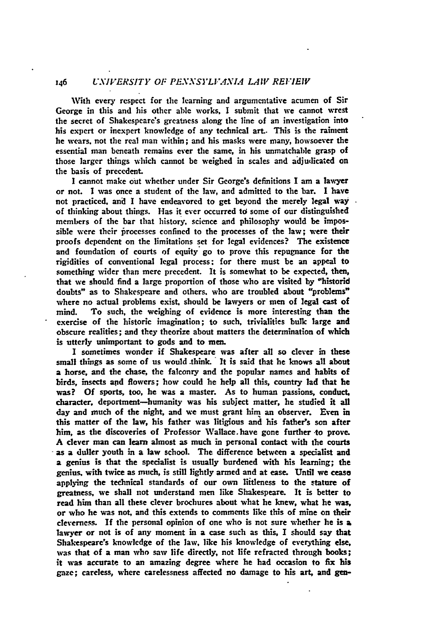# <sup>146</sup>*.VERSITY OF PENSYLV4NL4* LAW *REI.'IEIV*

With every respect for the learning and argumentative acumen of Sir George in this and his other able works, I submit that we cannot wrest the secret of Shakespeare's greatness along the line of an investigation into his expert or inexpert knowledge of any technical art.. This is the raiment he wears, not the real man within; and his masks were many, howsoever the essential man beneath remains ever the same, in his unmatchable grasp of those larger things which cannot be weighed in scales and adjudicated on the basis of precedent.

**I** cannot make out whether under Sir George's definitions I am a lawyer or not. **I** was once a student of the law, and admitted to the bar. I have not practiced, and I have endeavored to get beyond the merely legal **wa** of thinking about things. Has it ever occurred td some of our distinguished members of the bar that history, science and philosophy would be impossible were their firocesses confined to the processes of the law; were their proofs dependent on the limitations set for legal evidences? The existence and foundation of courts of equity go to prove this repugnance for the rigidities of conventional legal process: for there must **be** an appeal to something wider than mere precedent. It is somewhat to be expected, then, that we should find a large proportion of those who are visited **by** "historid doubts" as to Shakespeare and others, who are troubled about "problems" where no actual problems exist, should be lawyers or men of legal cast of mind. To such, the weighing of evidence is more interesting than the exercise of the historic imagination; to such, trivialities bulk large and obscure realities; and they theorize about matters the determination of which is utterly unimportant to gods and to men.

I sometimes wonder if Shakespeare was after all so clever in these small things as some of us would .think. **'** It is said that he knows all about a horse, and the chase, the falconry and the popular names and habits of birds, insects and flowers; how could he help all this, country lad that he was? Of sports, too, he was a master. As to human passions, conduct, character, deportment-humanity was his subject matter, he studied it all day and much of the night, and we must grant him an observer. Even in this matter of the law, his father was litigious and his father's son after him, as the discoveries **of** Professor Wallace. have gone further -to prove. A clever man can learn almost as much in personal contact with the courts as a duller youth in a law school. The difference between a specialist and a genius is that the specialist is usually burdened with his learning; the genius, with twice as much, is still lightly armed and at ease. Until we cease applying the technical standards of our own liitleness to the stature of greatness, we shall not understand men like Shakespeare. It is better to read him than all these clever brochures about what he knew, what he was, or who he was not, and this extends to comments like this of mine on their cleverness. **If** the personal opinion of one who is not sure whether he is a lawyer or not is of any moment in a case such as this, I should say that Shakespeare's knowledge of the law, like his knowledge of everything else, was that of a man who saw life directly, not life refracted through books; it was accurate to an amazing degree where he had occasion to fix his gaze; careless, where carelessness affected no damage to his art, and gen-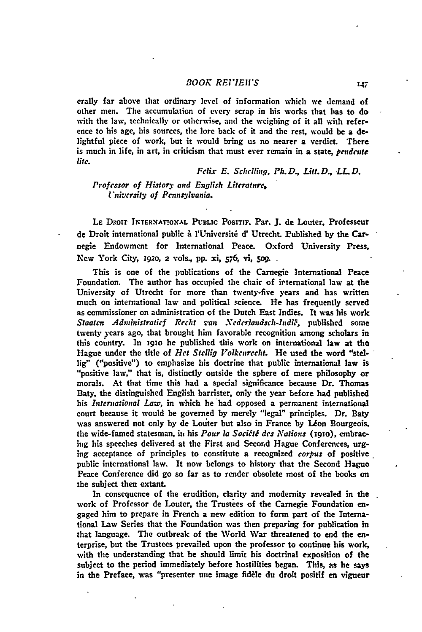## *BOOK REI'IEIIS*

crally far above that ordinary level of information which we demand of other men. The accumulation of **every** scrap in his works that bas to **do** with the law, technically or otherwise, and the weighing of it all with reference to his age, his sources, the lore back of it and the rest, would be a delightful piece of work, but it would bring us no nearer a verdict. There is much in life, in art, in criticism that must ever remain in a state, *pendente lite.*

*Felix* **E.** Sehe ling, *Ph.D., Lift.D.,* LL.D.

*Professor* of *History* and *English Literature,* I'niversity of Pennsylvania.

LE DROIT INTERNATIONAL PUBLIC POSITIF. Par. J. de Louter, Professeur de Droit international public i rUniversit **d'** Utrecht. Published **by** the Carnegie Endowment for International Peace. Oxford University Press, New York City, 1920, 2 vols., pp. xi, 576, vi, 509.

This is one of the publications of the Carnegie International Peace Foundation. The author has occupied the chair of irternational law at the University of Utrecht for more than twenty-five years and has written much on international law and political science He has frequently served as commissioner on administration of the Dutch East Indies. It was his work *Staaten Administratief Recht van Nederlandsch-Indië*, published some twenty years ago, that brought him favorable recognition among scholars in this country. In 1910 he published this work on international law at the Hague under the title of *Het Stellig* Volkcnrecht. He used the word "stellig" ("positive") to emphasize his doctrine that public international law is "positive law," that is, distinctly outside the sphere of mere philosophy or morals. At that time this had a special significance because Dr. Thomas Baty, the distinguished English barrister, only the year before had published his *International Law,* in which **he** had opposed a permanent international court because it would be governed **by** merely "legal" principles. Dr. Baty was answered not only by de Louter but also in France by Léon Bourgeois, the wide-famed statesman, in his *Pour* **la** *Soc[it' des Nations* **(i9io),** embracing his speeches delivered at the First and Second Hague Conferences, urging acceptance of principles to constitute a recognized *corpus* of positive public international law. It now belongs to history that the Second Hague Peace Conference did go so far as to render obsolete most of the books on the subject then extant.

In consequence of the erudition, clarity and modernity revealed in the work of Professor de Louter, the Trustees of the Carnegie Foundation engaged him to prepare in French a new edition to form part of the International Law Series that the Foundation was then preparing for publication in that language. The outbreak of the World War threatened to end the enterprise, but the Trustees prevailed upon the professor to continue his work, with the understanding that he should limit his doctrinal exposition of the subject to the period immediately before hostilities began. This, as he **says** in the Preface, was "presenter **une** image fiddle du droit positif en vigueur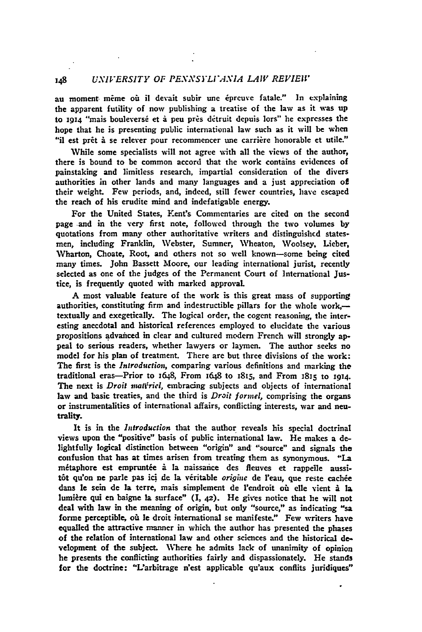# 148 *UNIVERSITY OF PEXNSYLIAXIA LAW REVIEW*

au moment même où il devait subir une épreuve fatale." In explaining the apparent futility of now publishing a treatise of the law as it was **up** to **1914** "mais bouleversé et à peu près détruit depuis lors" he expresses the hope that he is presenting public international law such as it will **be** when "il est prêt à se relever pour recommencer une carrière honorable et utile."

While some specialists will not agree with all the views of the author, there is bound to be common accord that the work contains evidences of painstaking and limitless research, impartial consideration **of** the divers authorities in other lands and many languages and a just appreciation of their weight. Few periods, and, indeed, still fewer countries, have escaped the reach of his erudite mind and indefatigable energy.

For the United States, Kent's Commentaries are cited on the second page and in the very first note, followed through the two volumes **by** quotations from many other authoritative writers and distinguishcd statesmen, including Franklin, Webster, Sumner, Wheaton, Woolsey, Lieber, Wharton, Choate, Root, and others **not** so well known-some being cited many times. John Bassett Moore, our leading international jurist, recently selected as one of the judges of the Permanent Court of International Justice, is frequently quoted with marked approval.

A most valuable feature of the work is this great mass of supporting authorities, constituting firm and indestructible pillars for the whole work, textually and exegetically. The logical order, the cogent reasoning, the interesting anecdotal and historical references employed to elucidate the various propositions advahced in clear and cultured modern French will strongly appeal to serious readers, whether lawyers or laymen. The author seeks no model for his plan of treatment. There are but three divisions of the work: The first is the *Introduction,* comparing various definitions and marking the traditional eras-Prior to 1648, From 1648 to x815, and From 1815 to **1914.** The next is *Droit matteriel*, embracing subjects and objects of international law and basic treaties, and the third is *Droit formel,* comprising the organs or instrumentalities of international affairs, conflicting interests, war and neutrality.

It is in the *Introduction* that the author reveals his special doctrinal views upon the "positive" basis of public international law. He makes a delightfully logical distinction between "origin" and "source" and signals the confusion that has at times arisen from treating them as synonymous. "La métaphore est empruntée à la naissance des fleuves et rappeile aussitôt qu'on ne parle pas ici de la véritable *origine* de l'eau, que reste cachée dans **It** sein de la terre, mais simplement de l'endroit oit elle vient i **I&** lumière qui en baigne la surface"  $(I, 42)$ . He gives notice that he will not deal with law in the meaning of origin, but only "source," as indicating "sa forme perceptible, où le droit international se manifeste." Few writers have equalled the attractive nanner in which the author has presented the phases of the relation of international law and other sciences and the historical **de-.** velopment of the subject. Where he admits lack of unanimity of opinion he presents the conflicting authorities fairly and dispassionately. He stands for the doctrine: "L'arbitrage n'est applicable qu'aux conflits juridiques"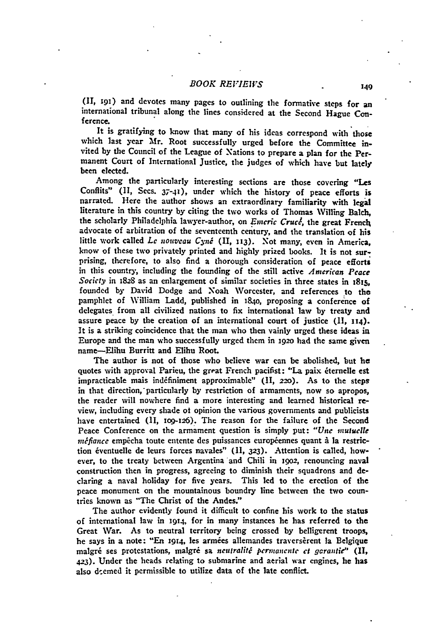# *BOOK REI'IEIVS* <sup>149</sup>

**I91,** i91) and devotes many pages to outlining the formative steps for an international tribunal along the lines considered at the Second Hague Conference.

It is gratifying to know that many of his ideas correspond with those which last year Mr. Root successfully urged before the Committee invited **by** the Council of the League of Xations to prepare a plan for the Permanent Court of International Justice, the judges of which have but lately been elected.

Among the particularly interesting sections are those covering "Les Conflits" **(II,** Secs. 37-4), under which the history of peace efforts is narrated. Here the author shows an extraordinary familiarity with legal literature in this country **by** citing the two works of Thomas Willing Balch, the scholarly Philadelphia lawyer-author, on *Emeric Cruel,* the great French advocate of arbitration of the seventeenth century, and the translation of his little work called *Le nouvcau Cyin:* **(II, 113).** Not many, even in America, know of these two privately printed and highly prized books. It is not surprising, therefore, to also find a thorough consideration of peace efforts in this country, including the founding of the still active *American Peace Socicty* in 1828 as an enlargement of similar societies in three states in 1815. founded by David Dodge and Xoah Worcester, and references to the pamphlet of William Ladd, published in 1840, proposing a conference **of** delegates from all civilized nations to fix international law **by** treaty and assure peace **by** the creation of an international court of justice (II, **114).** It is a striking coincidence that the man who then vainly urged these ideas in Europe and the man who successfully urged them in **1920** had the same given name--Elihu Burritt and Elihu Root.

The author is not of those who believe war can be abolished, but he quotes with approval Parieu, the great French pacifist: "La paix éternelle est impracticable mais ind6finiment approximable" (II, **22o).** As to the steps in that direction, particularly by restriction of armaments, now so apropos, the reader will nowhere find a more interesting and learned historical review, including every shade ot opinion the various governments and publicists have entertained (II, 109-126). The reason for the failure of the Second Peace Conference on the armament question is simply put: "Une mutuelle *nzfiance* empicha toute entente des puissances europiennes quant a **la** restriction 6ventuelle **de** leurs forces navales" (II, **323).** Attention is called, however, to the treaty between Argentina and Chili in 1902, renouncing naval construction then in progress, agreeing to diminish their squadrons and declaring a naval holiday for five years. This led to the erection of the peace monument on the mountainous boundry line between the two countries known as "The Christ of the Andes."

The author evidently found it difficult to confine his work to the status of international law in 1914, for in many instances he has referred to the Great War. As to neutral territory being crossed **by** belligerent troops, he says in a note: "En **1914,** les armies allemandes traversirent **la** Belgique malgré ses protestations, malgré sa *ncutralité permanente et garantie*" (II, **423).** Under the heads relating to submarine and aerial war engines, he has also deemed it permissible to utilize data of the late conflict.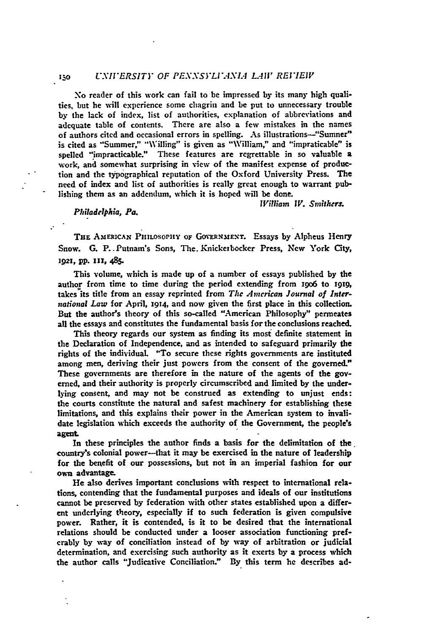### *<sup>130</sup>UXII'ERSITY OF PEX.VSYLI.4NXL LA1I REI7EIV*

No reader of this work can fail to be impressed **by** its many high qualities, but he will experience some chagrin and be put to unnecessary trouble **by** the lack of index, list of authorities, explanation **of** abbreviations and adequate table of contents. There are also a few mistakes in the names of authors cited and occasional errors in spelling. As illustrations-"Sumner" is cited as "Summer," "Willing" is given as "William," and "impraticable" is spelled "impracticable." These features are regrettable in so valuable a work, and somewhat surprising in view of the manifest expense of production and the typographical reputation of the Oxford University Press. The need of index and list **of** authorities is really great enough to warrant publishing them as an addendum, which it is hoped will be done.

*William IV.* Smithers.

#### *Philadelphia, Pa.*

THE AMERICAN PHILOSOPHY OF GOVERNMENT. Essays by Alpheus Henry Snow. **G.** P..Putnam's Sons, The. Knickerbocker Press, New York City, **1921,** pp. **111,** 485.

This volume, which is made up of a number of essays published **by** the author from time to time during the period extending from **i9o6** to **i919,** takes its title from an essay reprinted from *The American Journal of International Law* for April, **1914,** and now given the first place in this collection. But the author's theory of this so-called "American Philosophy" permeates all the essays and constitutes the fundamental basis for the conclusions reached.

This theory regards our system as finding its most definite statement in the Declaration of Independence, and as intended to safeguard primarily the rights of the individual. "To secure these rights governments **are** instituted among men, deriving their just powers from the consent of the governed." These governments are therefore in the nature of the agents of the **gov**erned, and their authority is properly circumscribed and limited **by** the underlying consent, and may not be construed as extending to unjust ends: the courts constitute the natural and safest machinery for establishing these limitations, and this explains their power in the American system to invalidate legislation which exceeds the authority of the Government, the people's **agent**

In these principles the author finds a basis for the delimitation of the country's colonial power-that it may be exercised in the nature of leadership for the benefit of our possessions, but not in **an** imperial fashion for our own advantage.

He also derives important conclusions with respect to international relations, contending that the fundamental purposes and ideals of our institutions cannot be preserved **by** federation with other states established upon a different underlying theory, especially if to such federation is given compulsive power. Rather, it is contended, is it to be desired that the international relations should be conducted under a looser association functioning preferably **by** way of conciliation instead of **by** way of arbitration or judicial determination, and exercising such authority as it exerts **by** a process which the author calls "Judicative Conciliation." **By** this term he describes ad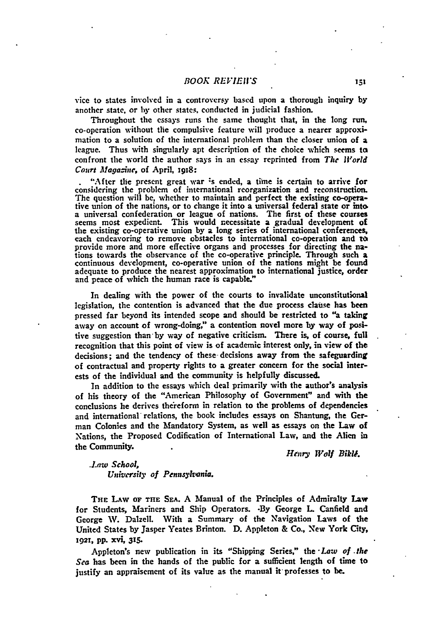vice to states involved in a controversy based upon a thorough inquiry **by** another state, or **by** other states, conducted in judicial fashion.

Throughout the essays runs the same thought that, in the long run, co-operation without the compulsive feature will produce a nearer approximation to a solution of the international problem than the closer union of a league. Thus with singularly apt description of the choice which seems **to** confront the world the author says in an essay reprinted from *The World* Court *Magazine*, of April, 1918:

"After the present great war is ended, a time is certain to arrive for considering the problem of international reorganization and reconstruction. The question will be, whether to maintain and perfect the existing co-operative union of the nations, or to change it into a universal federal state or into. a universal confederation or league of nations. The first of these courses seems most expedient. This would necessitate a gradual development of the existing co-operative union **by** a long series of international conferences, each endeavoring to remove obstacles to international co-operation and **t** provide more and more effective organs and processes for directing the nations towards the observance of the co-operative principle. Through such a continuous development, co-operative union of the nations might be found adequate to produce the nearest approximation to international justice, order and peace of which the human race is capable."

In dealing with the power of the courts to invalidate unconstitutional legislation, the contention is advanced that the due process clause has been pressed far beyond its intended scope and should be restricted to "a taking away on account of wrong-doing," a contention novel more **by** way of positive suggestion than-by way of negative criticism. There **is,** of course, full recognition that this point of view is of academic interest only, in view of the decisions; and the tendency of these- decisions away from the safeguarding of contractual and property rights to a greater concern for the social interests of the individual and the community is helpfully discussed.

In addition to the essays which deal primarily with the author's analysis of his theory of the "American Philosophy of Government" and with the conclusions he derives the'reform in relation to the problems of dependencies and international relations, the book includes essays on Shantung, the German Colonies and the Mandatory System, as well as essays on the Law of Nations, the Proposed Codification of International Law, and the Alien in the Community. **1999. https://widthermediate. Henry Wolf Bikle.** *Henry Wolf Bikle.* 

*Law* **School,** *Unhicrsiki of Pennsylvania.*

**THE LAw OF THE SEA. A** Manual of the Principles of Admiralty Law for Students, Mariners and Ship Operators. **-By** George L Canfield and George W. Dalzell. With a Summary of the Navigation Laws of the United States **by** Jasper Yeates Brinton. **D.** Appleton **&** Co., New York City, **1921,** pp. **x'n, 315.**

Appleton's **new** publication in its "Shipping Series," the *-Law of the Sea* has been in the hands of the public for a sufficient length of time to justify an appraisement of its value as the manual it professes to be.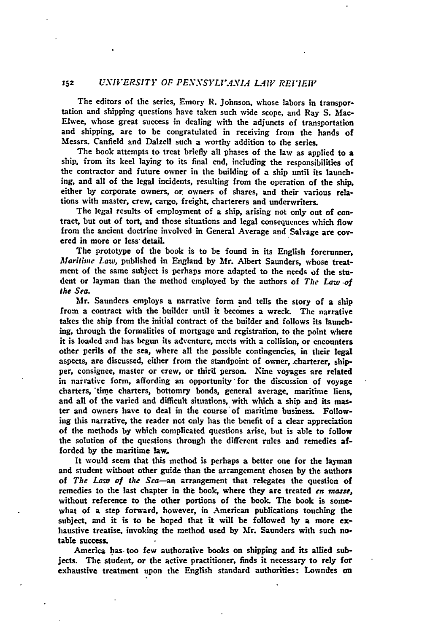# **<sup>152</sup>***UNIVERSITY OF PEN.VSYLV'ANL4 L4V REVIEW*

The editors of the series, Emory R. Johnson, whose labors in transportation and shipping questions have taken such wide scope, and Ray **S.** Mac-Elwee, whose great success in dealing with the adjuncts of transportation and shipping, are to be congratulated in receiving from the hands of Messrs. Canfield and Dalzell such a worthy addition to the series.

The book attempts to treat briefly all phases of the law as applied to **a** ship, from its keel laying to its final end, including the responsibilities of the contractor and future owner in the building **of** a ship until its launching, and all of the legal incidents, resulting from the operation of the ship, either **by** corporate owners, or owners of shares, and their various relations with master, crew, cargo, freight, charterers and underwriters.

The legal results of employment of a ship, arising not only out of contract, but out of tort, and those situations and legal consequences which flow from the ancient doctrine involved in General Average and Salvage are covered in more or less- detail.

The prototype of the book is to be found in its English forerunner, *Maritime Law,* published in England **by Mr.** Albert Saunders, whose treatment of the same subject is perhaps more adapted to the needs of the student or layman than the method employed **by** the authors of *The Law of the Sea.*

Mr. Saunders employs a narrative form and tells the story of a **ship** from a contract with the builder until it becomes a wreck. The narrative takes the ship from the initial contract of the builder and follows its launching, through the formalities of mortgage and registration, to the point where it is loaded and has begun its adventure, meets with a collision, or encounters other perils of the sea, where all the possible contingencies, in their legal aspects, are discussed, either from the standpoint of owner, charterer, shipper, consignee, master or crew, or third person. Nine voyages are related in narrative form, affording an opportunity'for the discussion of voyage charters, "tine charters, bottomry bonds, general average, maritime liens, and all of the varied and difficult situations, with which a ship and its master and owners have to deal in the course of maritime business. Following this narrative, the reader not only has the benefit of a clear appreciation of the methods **by** which complicated questions arise, but is able to follow the solution of the questions through the different rules and remedies afforded **by** the maritime **law.**

It would seem that this method is perhaps a better one for the layman and student without other guide than the arrangement chosen **by** the authors of *The Law of the Sea-an* arrangement that relegates the question of remedies to the last chapter in the book, where they are treated *en masse,* without reference to the other portions of the book The book is somewhat of a step forward, however, in American publications touching the subject, and it is to **be** hoped that it will be followed **by** a more exhaustive treatise, invoking the method used **by** Mr. Saunders with such notable success.

America has too few authorative books on shipping and its allied subjects. The student, or the active practitioner, finds it necessary to rely for exhaustive treatment upon the English standard authorities: Lowndes on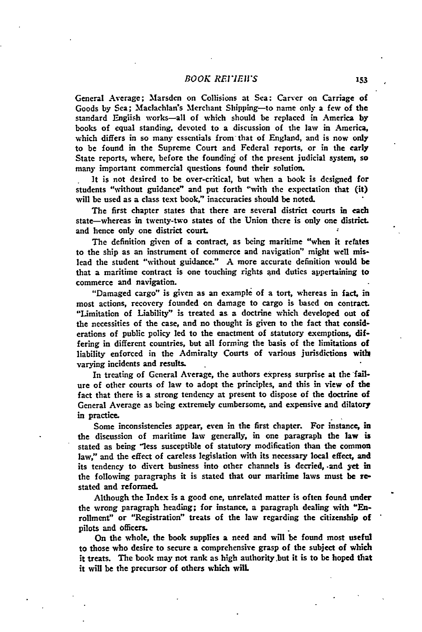# *BOOK REIVEW'S*

General Average; Marsden on Collisions at Sea: Carver on Carriage of Goods by Sea; Maclachlan's Merchant Shipping-to name only a few of the standard English works-all of which should be replaced in America **by** books of equal standing, devoted to a discussion of the law in America, which differs in so many essentials from that of England, and is now only to be found in the Supreme Court and Federal reports, or in the early State reports, where, before the founding of the present judicial system, so many important commercial questions found their solution.

It is not desired to be over-critical, but when a book is designed for students "without guidance" and put forth "with the expectation that (it) will **be** used as a class text book," inaccuracies should be noted.

The first chapter states that there are several district courts in each state-whereas in twenty-two states of the Union there is only one district. and hence only one district court.

The definition given of a contract, as being maritime "when it refates to the ship as an instrument of commerce and navigation" might well mislead the student "without guidance." A more accurate definition would be that a maritime contract is one touching rights and duties appertaining to commerce and navigation.

"Damaged cargo" is given as an example of a tort, whereas in fact, in most actions, recovery founded on damage to cargo is based on contract. "Limitation of Liability" is treated as a doctrine which developed out of the necessities of the case, and no thought is given to the fact that considerations of public policy led to the enactment of statutory exemptions, differing in different countries, but all forming the basis of the limitations **of** liability enforced in the Admiralty Courts of various jurisdictions with varying incidents and results.

In treating of General Average, the authors express surprise at the failure of other courts of law to adopt the principles, and this in view of the fact that there is a strong tendency at present to dispose of the doctrine **of** General Average as being extremely cumbersome, and expensive and dilatory in practice.

Some inconsistencies appear, even in the first chapter. For instance, in the discussion of maritime law generally, in one paragraph the law **is** stated as being "less susceptible of statutory modification than the common law," and the effect of careless legislation with its necessary local effect, and its tendency to divert business into other channels is decried, and yet in the following paragraphs it is stated that our maritime laws must be **re**stated and reformed.

Although the Index is a good one, unrelated matter is often found under the wrong paragraph heading; for instance, a paragraph dealing with "Enrollment" or "Registration" treats of the law regarding the citizenship of pilots and officers.

On the whole, the book supplies a need and will be found most useful to those who desire to secure a comprehensive grasp of the subject of which it treats. The book may not rank as high authority.but it is to be **hoped** that it will be the precursor of others which will.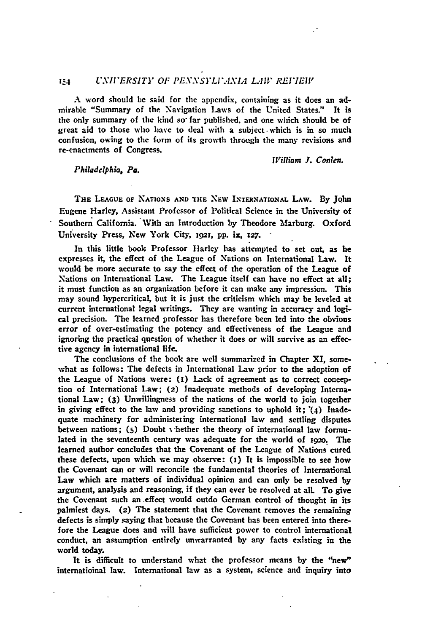## *I-4 UXII'ERSIT]" OF PEXNSYLI.-tXL.1 LAI REI7EIV*

A word should be said for the appendix, containing as it does an admirable "Summary of the Navigation Laws of the United States." It is the only summary of the kind so far published, and one which should be of great aid to those who have to deal with a subject.which is in so much confusion, owing to the **form** of its growth through the many revisions and re-enactments of Congress.

*William J.* Conlen.

## *Philadelphia, Pa.*

**THE LEAGUE OF NATIONS AND TlE NEW** INTERNATIONAL LAW. **By** John Eugene Harley, Assistant Professor of Political Science in the University of Southern California. With an Introduction by Theodore Marburg. Oxford University Press, New York City, 1921, pp. ix, 127.

In this little book Professor Harley has attempted to set out, as he expresses it, the effect of the League of Nations on International Law. It would be more accurate to say the effect of the operation of the League of Nations on International Law. The League itself can have no effect at all; it must function as an organization before it can make any impression. This may sound hypercritical, but it is just the criticism which may **be** leveled at current international legal writings. They are wanting in accuracy and logical precision. The learned professor has therefore been led into the obvious error of over-estimating the potency and effectiveness of the League and ignoring the practical question of whether **it** does or will survive as an effective agency in international life.

The conclusions of the book are well summarized in Chapter XI, somewhat as follows: The defects in International Law prior to the adoption of the League of Nations were: (i) Lack of agreement as to correct conception of International Law; (2) Inadequate methods of developing International Law; **(3)** Unwillingness of the nations of the world to join together in giving effect to the law and providing sanctions to uphold it; **"(4)** Inadequate machinery for administering international law and settling disputes between nations; **(5)** Doubt v'hether the theory of international law formulated in the seventeenth century was adequate for the world of **i9o.** The learned author concludes that the Covenant of the League of Nations cured these defects, upon which we may observe: (i) It is impossible to see how the Covenant can or will reconcile the fundamental theories **of** International Law which are matters of individual opinion and can only be resolved **by** argument, analysis and reasoning, if they can ever be resolved at all. To give the Covenant such an effect would outdo German control of thought in its palmiest days. **(2)** The statement that the Covenant removes the remaining defects is simply saying that because the Covenant has been entered into therefore the League does and will have sufficient power to control international conduct, an assumption entirely unwarranted **by** any facts existing in the world today.

It is difficult to understand what the professor means **by** the "new" internatioinal law. International law as a system, science and inquiry into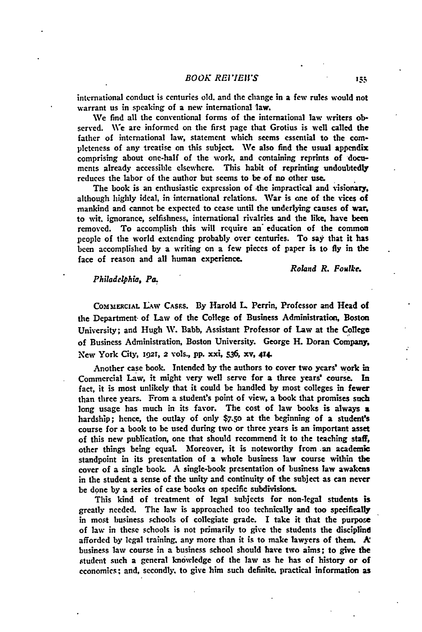#### *BOOK REI7EIVS*

**international** conduct is centuries old. and the change in a few rules would not warrant us in speaking of a new international law.

We find all the conventional forms of the international law writers observed. We are informed on the first page that Grotius is well called the father of international law, statement which seems essential to the **com**pleteness of any treatise on this subject. **We** also find the usual appendix comprising about one-half of the work, and containing reprints of **docu**ments already accessible elsewhere. This habit of reprinting undoubtedly reduces the labor of the author but seems to be of no other use.

The book is an enthusiastic expression of the impractical and visionary, although highly ideal, in international relations. War is one of the vices of mankind and cannot be expected to cease until the underlying causes of **war,** to wit. ignorance, selfishness, international rivalries and the like, have been removed. To accomplish this will require an' education of the common people of the world extending probably over centuries. To say that it has been accomplished **by** a writing on a few pieces of paper is to **fly** in the face of reason and all human experience.

*Roland R. Foalke.*

#### *Philadelphia, Pa.*

COMMERCIAL LAW CASES. By Harold L. Perrin, Professor and Head of the Department- of Law of the College of Business Administration, Boston University; and Hugh W. Babb, Assistant Professor of Law at the College of Business Administration, Boston University. George H. Doran Company, New York City, **1921, 2** vols., PP. **xxi, 536, xv,** 414.

Another case book. Intended **by** the authors to cover two years' work in Commercial Law, it might very well serve for a three years' course. In fact, it is most unlikely that it could be handled **by** most colleges in fewer than three years. From a student's point of view, a book that promises such long usage has much in its favor. The cost of law books is always a hardship; hence, the outlay of only **\$7.5o** at the beginning of a siudent's course for a book to be used during two or three years is an important asset **of** this new publication, one that should recommend it to the teaching staff, other things being equal. Moreover, it is noteworthy from **.an** academic standpoint in its presentation of a whole business law course within the cover of a single **book. A** single-book presentation of business law awakens in the student a sense of the unity and continuity of the subject as can never be done **by** a series of case books on specific subdivisions.

This kind of treatment of legal Subjects for non-legal students is greatly needed. The law is approached too technically and too specifically in most business schools of collegiate grade. **I** take it that the purpose of law in these schools is not primarily to give the students the discipline afforded **by** legal training, any more than it is to make lawyers of them. **A** business law course in a business school should have two aims; to give the student such a general knowledge of the law as he has of history or of economics; and, secondly, to give him such definite, practical information as